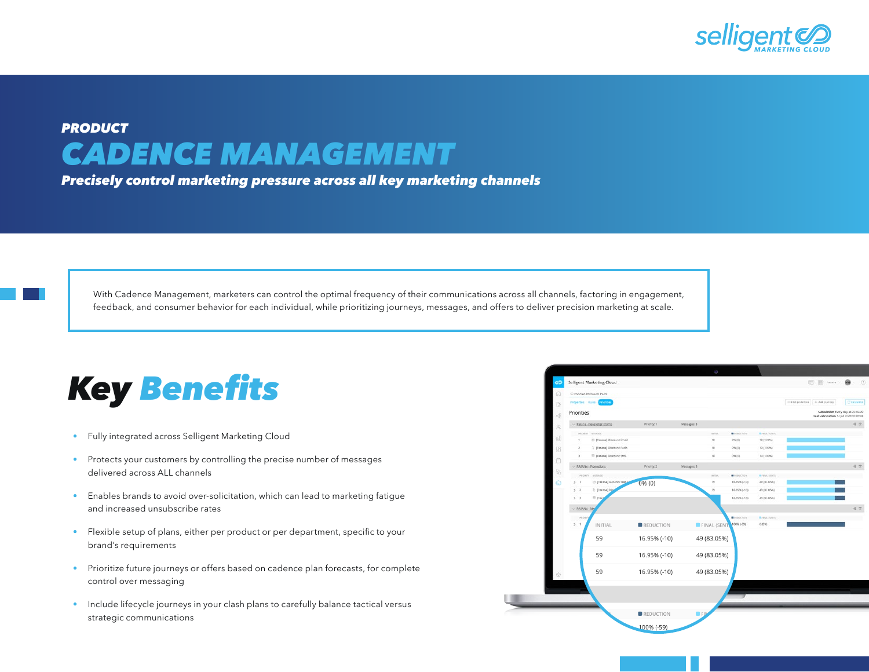

## *PRODUCT CADENCE MANAGEMENT*

*Precisely control marketing pressure across all key marketing channels*

With Cadence Management, marketers can control the optimal frequency of their communications across all channels, factoring in engagement, feedback, and consumer behavior for each individual, while prioritizing journeys, messages, and offers to deliver precision marketing at scale.

## *Key* Benefits

- Fully integrated across Selligent Marketing Cloud
- Protects your customers by controlling the precise number of messages delivered across ALL channels
- Enables brands to avoid over-solicitation, which can lead to marketing fatigue and increased unsubscribe rates
- Flexible setup of plans, either per product or per department, specific to your brand's requirements
- Prioritize future journeys or offers based on cadence plan forecasts, for complete control over messaging
- Include lifecycle journeys in your clash plans to carefully balance tactical versus strategic communications